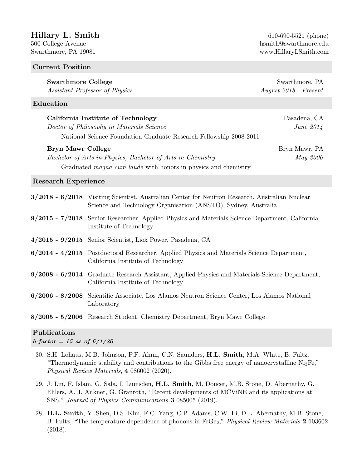# $Hillary L. Smith$  610-690-5521 (phone)

#### Current Position

# Swarthmore College Swarthmore, PA

Assistant Professor of Physics August 2018 - Present

## Education

| California Institute of Technology                                 | Pasadena, CA     |
|--------------------------------------------------------------------|------------------|
| Doctor of Philosophy in Materials Science                          | <i>June 2014</i> |
| National Science Foundation Graduate Research Fellowship 2008-2011 |                  |

#### Bryn Mawr College Bryn Mawr, PA

Bachelor of Arts in Physics, Bachelor of Arts in Chemistry May 2006 Graduated magna cum laude with honors in physics and chemistry

### Research Experience

| 3/2018 - 6/2018 Visiting Scientist, Australian Center for Neutron Research, Australian Nuclear<br>Science and Technology Organisation (ANSTO), Sydney, Australia |
|------------------------------------------------------------------------------------------------------------------------------------------------------------------|
| 9/2015 - 7/2018 Senior Researcher, Applied Physics and Materials Science Department, California<br>Institute of Technology                                       |
| $4/2015$ - $9/2015$ Senior Scientist, Liox Power, Pasadena, CA                                                                                                   |
| $6/2014 - 4/2015$ Postdoctoral Researcher, Applied Physics and Materials Science Department,<br>California Institute of Technology                               |
| 9/2008 - 6/2014 Graduate Research Assistant, Applied Physics and Materials Science Department,<br>California Institute of Technology                             |
| 6/2006 - 8/2008 Scientific Associate, Los Alamos Neutron Science Center, Los Alamos National<br>Laboratory                                                       |
| 8/2005 - 5/2006 Research Student, Chemistry Department, Bryn Mawr College                                                                                        |

# Publications

 $h$ -factor = 15 as of  $6/1/20$ 

- 30. S.H. Lohaus, M.B. Johnson, P.F. Ahnn, C.N. Saunders, H.L. Smith, M.A. White, B. Fultz, "Thermodynamic stability and contributions to the Gibbs free energy of nanocrystalline  $Ni_3Fe$ ," Physical Review Materials, 4 086002 (2020).
- 29. J. Lin, F. Islam, G. Sala, I. Lumsden, H.L. Smith, M. Doucet, M.B. Stone, D. Abernathy, G. Ehlers, A. J. Ankner, G. Granroth, "Recent developments of MCViNE and its applications at SNS," Journal of Physics Communications 3 085005 (2019).
- 28. H.L. Smith, Y. Shen, D.S. Kim, F.C. Yang, C.P. Adams, C.W. Li, D.L. Abernathy, M.B. Stone, B. Fultz, "The temperature dependence of phonons in FeGe<sub>2</sub>," *Physical Review Materials* 2 103602 (2018).

500 College Avenue hsmith@swarthmore.edu Swarthmore, PA 19081 www.HillaryLSmith.com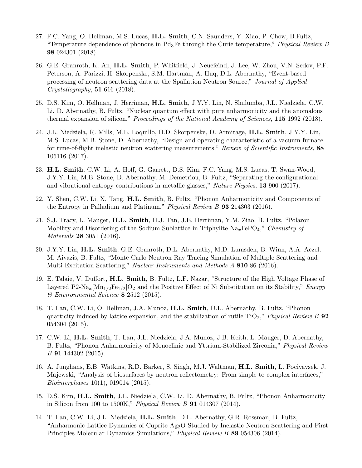- 27. F.C. Yang, O. Hellman, M.S. Lucas, H.L. Smith, C.N. Saunders, Y. Xiao, P. Chow, B.Fultz, "Temperature dependence of phonons in  $Pd_3F$ e through the Curie temperature," Physical Review B 98 024301 (2018).
- 26. G.E. Granroth, K. An, H.L. Smith, P. Whitfield, J. Neuefeind, J. Lee, W. Zhou, V.N. Sedov, P.F. Peterson, A. Parizzi, H. Skorpenske, S.M. Hartman, A. Huq, D.L. Abernathy, "Event-based processing of neutron scattering data at the Spallation Neutron Source," Journal of Applied  $Crystallography$ , **51** 616 (2018).
- 25. D.S. Kim, O. Hellman, J. Herriman, H.L. Smith, J.Y.Y. Lin, N. Shulumba, J.L. Niedziela, C.W. Li, D. Abernathy, B. Fultz, "Nuclear quantum effect with pure anharmonicity and the anomalous thermal expansion of silicon," Proceedings of the National Academy of Sciences, 115 1992 (2018).
- 24. J.L. Niedziela, R. Mills, M.L. Loquillo, H.D. Skorpenske, D. Armitage, H.L. Smith, J.Y.Y. Lin, M.S. Lucas, M.B. Stone, D. Abernathy, "Design and operating characteristic of a vacuum furnace for time-of-flight inelastic neutron scattering measurements," Review of Scientific Instruments, 88 105116 (2017).
- 23. H.L. Smith, C.W. Li, A. Hoff, G. Garrett, D.S. Kim, F.C. Yang, M.S. Lucas, T. Swan-Wood, J.Y.Y. Lin, M.B. Stone, D. Abernathy, M. Demetriou, B. Fultz, "Separating the configurational and vibrational entropy contributions in metallic glasses," Nature Physics, 13 900 (2017).
- 22. Y. Shen, C.W. Li, X. Tang, H.L. Smith, B. Fultz, "Phonon Anharmonicity and Components of the Entropy in Palladium and Platinum," *Physical Review B* **93** 214303 (2016).
- 21. S.J. Tracy, L. Mauger, H.L. Smith, H.J. Tan, J.E. Herriman, Y.M. Ziao, B. Fultz, "Polaron Mobility and Disordering of the Sodium Sublattice in Triphylite-Na<sub>x</sub>FePO<sub>4</sub>," Chemistry of Materials 28 3051 (2016).
- 20. J.Y.Y. Lin, H.L. Smith, G.E. Granroth, D.L. Abernathy, M.D. Lumsden, B. Winn, A.A. Aczel, M. Aivazis, B. Fultz, "Monte Carlo Neutron Ray Tracing Simulation of Multiple Scattering and Multi-Excitation Scattering," Nuclear Instruments and Methods A 810 86 (2016).
- 19. E. Talaie, V. Duffort, H.L. Smith, B. Fultz, L.F. Nazar, "Structure of the High Voltage Phase of Layered P2-Na<sub>x</sub> $[\text{Mn}_{1/2}\text{Fe}_{1/2}]\text{O}_2$  and the Positive Effect of Ni Substitution on its Stability," *Energy*  $\mathscr$ *Environmental Science* **8** 2512 (2015).
- 18. T. Lan, C.W. Li, O. Hellman, J.A. Munoz, H.L. Smith, D.L. Abernathy, B. Fultz, "Phonon quarticity induced by lattice expansion, and the stabilization of rutile  $TiO<sub>2</sub>$ ," Physical Review B 92 054304 (2015).
- 17. C.W. Li, H.L. Smith, T. Lan, J.L. Niedziela, J.A. Munoz, J.B. Keith, L. Mauger, D. Abernathy, B. Fultz, "Phonon Anharmonicity of Monoclinic and Yttrium-Stabilized Zirconia," Physical Review B 91 144302 (2015).
- 16. A. Junghans, E.B. Watkins, R.D. Barker, S. Singh, M.J. Waltman, H.L. Smith, L. Pocivavsek, J. Majewski, "Analysis of biosurfaces by neutron reflectometry: From simple to complex interfaces," Biointerphases 10(1), 019014 (2015).
- 15. D.S. Kim, H.L. Smith, J.L. Niedziela, C.W. Li, D. Abernathy, B. Fultz, "Phonon Anharmonicity in Silicon from 100 to 1500K," Physical Review B 91 014307 (2014).
- 14. T. Lan, C.W. Li, J.L. Niedziela, H.L. Smith, D.L. Abernathy, G.R. Rossman, B. Fultz, "Anharmonic Lattice Dynamics of Cuprite  $Ag_2O$  Studied by Inelastic Neutron Scattering and First Principles Molecular Dynamics Simulations," *Physical Review B* 89 054306 (2014).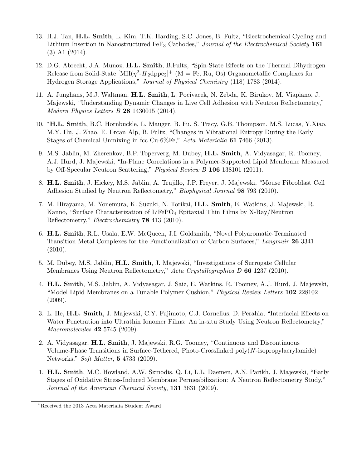- 13. H.J. Tan, H.L. Smith, L. Kim, T.K. Harding, S.C. Jones, B. Fultz, "Electrochemical Cycling and Lithium Insertion in Nanostructured FeF<sub>3</sub> Cathodes," Journal of the Electrochemical Society 161 (3) A1 (2014).
- 12. D.G. Abrecht, J.A. Munoz, H.L. Smith, B.Fultz, "Spin-State Effects on the Thermal Dihydrogen Release from Solid-State  $[MH(\eta^2-H_2dppe_2]^+$  (M = Fe, Ru, Os) Organometallic Complexes for Hydrogen Storage Applications," Journal of Physical Chemistry (118) 1783 (2014).
- 11. A. Junghans, M.J. Waltman, H.L. Smith, L. Pocivacek, N. Zebda, K. Birukov, M. Viapiano, J. Majewski, "Understanding Dynamic Changes in Live Cell Adhesion with Neutron Reflectometry," Modern Physics Letters B 28 1430015 (2014).
- 10. <sup>∗</sup>H.L. Smith, B.C. Hornbuckle, L. Mauger, B. Fu, S. Tracy, G.B. Thompson, M.S. Lucas, Y.Xiao, M.Y. Hu, J. Zhao, E. Ercan Alp, B. Fultz, "Changes in Vibrational Entropy During the Early Stages of Chemical Unmixing in fcc Cu-6%Fe," Acta Materialia 61 7466 (2013).
- 9. M.S. Jablin, M. Zherenkov, B.P. Toperverg, M. Dubey, H.L. Smith, A. Vidyasagar, R. Toomey, A.J. Hurd, J. Majewski, "In-Plane Correlations in a Polymer-Supported Lipid Membrane Measured by Off-Specular Neutron Scattering," Physical Review B 106 138101 (2011).
- 8. H.L. Smith, J. Hickey, M.S. Jablin, A. Trujillo, J.P. Freyer, J. Majewski, "Mouse Fibroblast Cell Adhesion Studied by Neutron Reflectometry," *Biophysical Journal* 98 793 (2010).
- 7. M. Hirayama, M. Yonemura, K. Suzuki, N. Torikai, H.L. Smith, E. Watkins, J. Majewski, R. Kanno, "Surface Characterization of LiFePO<sub>4</sub> Epitaxial Thin Films by X-Ray/Neutron Reflectometry," Electrochemistry 78 413 (2010).
- 6. H.L. Smith, R.L. Usala, E.W. McQueen, J.I. Goldsmith, "Novel Polyaromatic-Terminated Transition Metal Complexes for the Functionalization of Carbon Surfaces," Langmuir 26 3341 (2010).
- 5. M. Dubey, M.S. Jablin, H.L. Smith, J. Majewski, "Investigations of Surrogate Cellular Membranes Using Neutron Reflectometry," Acta Crystallographica D 66 1237 (2010).
- 4. H.L. Smith, M.S. Jablin, A. Vidyasagar, J. Saiz, E. Watkins, R. Toomey, A.J. Hurd, J. Majewski, "Model Lipid Membranes on a Tunable Polymer Cushion," Physical Review Letters 102 228102  $(2009).$
- 3. L. He, H.L. Smith, J. Majewski, C.Y. Fujimoto, C.J. Cornelius, D. Perahia, "Interfacial Effects on Water Penetration into Ultrathin Ionomer Films: An in-situ Study Using Neutron Reflectometry," Macromolecules **42** 5745 (2009).
- 2. A. Vidyasagar, H.L. Smith, J. Majewski, R.G. Toomey, "Continuous and Discontinuous Volume-Phase Transitions in Surface-Tethered, Photo-Crosslinked poly(N -isopropylacrylamide) Networks," Soft Matter, 5 4733 (2009).
- 1. H.L. Smith, M.C. Howland, A.W. Szmodis, Q. Li, L.L. Daemen, A.N. Parikh, J. Majewski, "Early Stages of Oxidative Stress-Induced Membrane Permeabilization: A Neutron Reflectometry Study," Journal of the American Chemical Society, 131 3631 (2009).

<sup>∗</sup>Received the 2013 Acta Materialia Student Award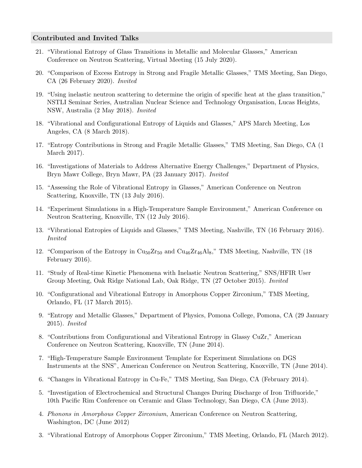#### Contributed and Invited Talks

- 21. "Vibrational Entropy of Glass Transitions in Metallic and Molecular Glasses," American Conference on Neutron Scattering, Virtual Meeting (15 July 2020).
- 20. "Comparison of Excess Entropy in Strong and Fragile Metallic Glasses," TMS Meeting, San Diego, CA (26 February 2020). Invited
- 19. "Using inelastic neutron scattering to determine the origin of specific heat at the glass transition," NSTLI Seminar Series, Australian Nuclear Science and Technology Organisation, Lucas Heights, NSW, Australia (2 May 2018). Invited
- 18. "Vibrational and Configurational Entropy of Liquids and Glasses," APS March Meeting, Los Angeles, CA (8 March 2018).
- 17. "Entropy Contributions in Strong and Fragile Metallic Glasses," TMS Meeting, San Diego, CA (1 March 2017).
- 16. "Investigations of Materials to Address Alternative Energy Challenges," Department of Physics, Bryn Mawr College, Bryn Mawr, PA (23 January 2017). Invited
- 15. "Assessing the Role of Vibrational Entropy in Glasses," American Conference on Neutron Scattering, Knoxville, TN (13 July 2016).
- 14. "Experiment Simulations in a High-Temperature Sample Environment," American Conference on Neutron Scattering, Knoxville, TN (12 July 2016).
- 13. "Vibrational Entropies of Liquids and Glasses," TMS Meeting, Nashville, TN (16 February 2016). Invited
- 12. "Comparison of the Entropy in  $\text{Cu}_{50}\text{Zr}_{50}$  and  $\text{Cu}_{46}\text{Zr}_{46}\text{Al}_{8}$ ," TMS Meeting, Nashville, TN (18) February 2016).
- 11. "Study of Real-time Kinetic Phenomena with Inelastic Neutron Scattering," SNS/HFIR User Group Meeting, Oak Ridge National Lab, Oak Ridge, TN (27 October 2015). Invited
- 10. "Configurational and Vibrational Entropy in Amorphous Copper Zirconium," TMS Meeting, Orlando, FL (17 March 2015).
- 9. "Entropy and Metallic Glasses," Department of Physics, Pomona College, Pomona, CA (29 January 2015). Invited
- 8. "Contributions from Configurational and Vibrational Entropy in Glassy CuZr," American Conference on Neutron Scattering, Knoxville, TN (June 2014).
- 7. "High-Temperature Sample Environment Template for Experiment Simulations on DGS Instruments at the SNS", American Conference on Neutron Scattering, Knoxville, TN (June 2014).
- 6. "Changes in Vibrational Entropy in Cu-Fe," TMS Meeting, San Diego, CA (February 2014).
- 5. "Investigation of Electrochemical and Structural Changes During Discharge of Iron Trifluoride," 10th Pacific Rim Conference on Ceramic and Glass Technology, San Diego, CA (June 2013).
- 4. Phonons in Amorphous Copper Zirconium, American Conference on Neutron Scattering, Washington, DC (June 2012)
- 3. "Vibrational Entropy of Amorphous Copper Zirconium," TMS Meeting, Orlando, FL (March 2012).